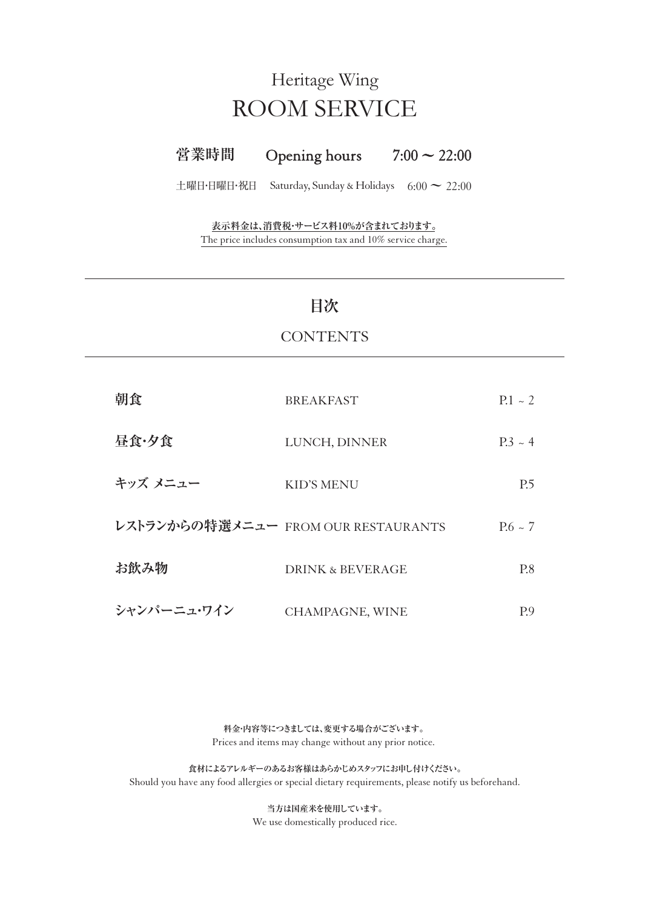# ROOM SERVICE Heritage Wing

#### **営業時間** Opening hours  $7:00 \sim 22:00$

土曜日・日曜日・祝日 Saturday, Sunday & Holidays 6:00 **~** 22:00

The price includes consumption tax and 10% service charge. **表示料金は、消費税・サービス料10%が含まれております。**

### **目次**

### **CONTENTS**

| 朝食                                  | <b>BREAKFAST</b>            | $P.1 - 2$    |
|-------------------------------------|-----------------------------|--------------|
| 昼食・夕食                               | LUNCH, DINNER               | $P.3 \sim 4$ |
| キッズ メニュー                            | KID'S MENU                  | P.5          |
| レストランからの特選メニュー FROM OUR RESTAURANTS |                             | $P.6 \sim 7$ |
| お飲み物                                | <b>DRINK &amp; BEVERAGE</b> | P.8          |
| シャンパーニュ・ワイン                         | CHAMPAGNE, WINE             | P.9          |

**料金・内容等につきましては、変更する場合がございます。** Prices and items may change without any prior notice.

**食材によるアレルギーのあるお客様はあらかじめスタッフにお申し付けください。** Should you have any food allergies or special dietary requirements, please notify us beforehand.

> **当方は国産米を使用しています。** We use domestically produced rice.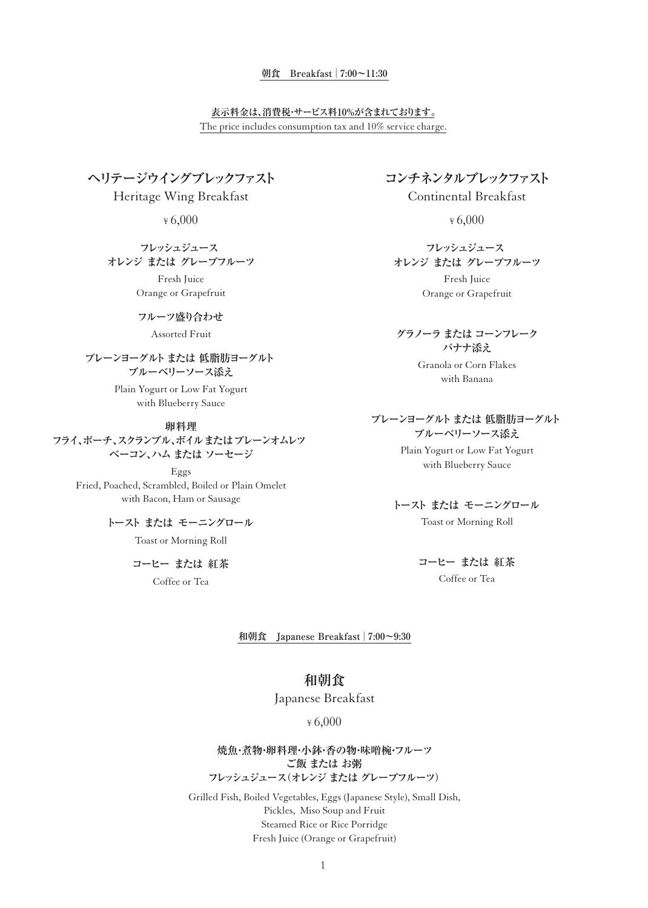#### **朝食 Breakfast | 7:00~11:30**

#### The price includes consumption tax and 10% service charge. **表示料金は、消費税・サービス料10%が含まれております。**

**ヘリテージウイングブレックファスト**

Heritage Wing Breakfast

¥ 6,000

#### **フレッシュジュース オレンジ または グレープフルーツ**

Fresh Juice Orange or Grapefruit

#### **フルーツ盛り合わせ**

Assorted Fruit

### **プレーンヨーグルト または 低脂肪ヨーグルト ブルーベリーソース添え**

Plain Yogurt or Low Fat Yogurt with Blueberry Sauce

#### **卵料理**

**フライ、ポーチ、スクランブル、ボイルまたはプレーンオムレツ ベーコン、ハム または ソーセージ**

Eggs Fried, Poached, Scrambled, Boiled or Plain Omelet with Bacon, Ham or Sausage

> Toast or Morning Roll **トースト または モーニングロール**

> > Coffee or Tea **コーヒー または 紅茶**

**コンチネンタルブレックファスト**

Continental Breakfast

¥ 6,000

**フレッシュジュース オレンジ または グレープフルーツ**

> Fresh Juice Orange or Grapefruit

**グラノーラ または コーンフレーク バナナ添え**

> Granola or Corn Flakes with Banana

**プレーンヨーグルト または 低脂肪ヨーグルト ブルーベリーソース添え**

> Plain Yogurt or Low Fat Yogurt with Blueberry Sauce

#### Toast or Morning Roll **トースト または モーニングロール**

Coffee or Tea **コーヒー または 紅茶**

**和朝食 Japanese Breakfast | 7:00~9:30**

### **和朝食**

Japanese Breakfast

#### ¥ 6,000

**焼魚・煮物・卵料理・小鉢・香の物・味噌椀・フルーツ ご飯 または お粥 フレッシュジュース(オレンジ または グレープフルーツ)**

Grilled Fish, Boiled Vegetables, Eggs (Japanese Style), Small Dish, Pickles, Miso Soup and Fruit Steamed Rice or Rice Porridge Fresh Juice (Orange or Grapefruit)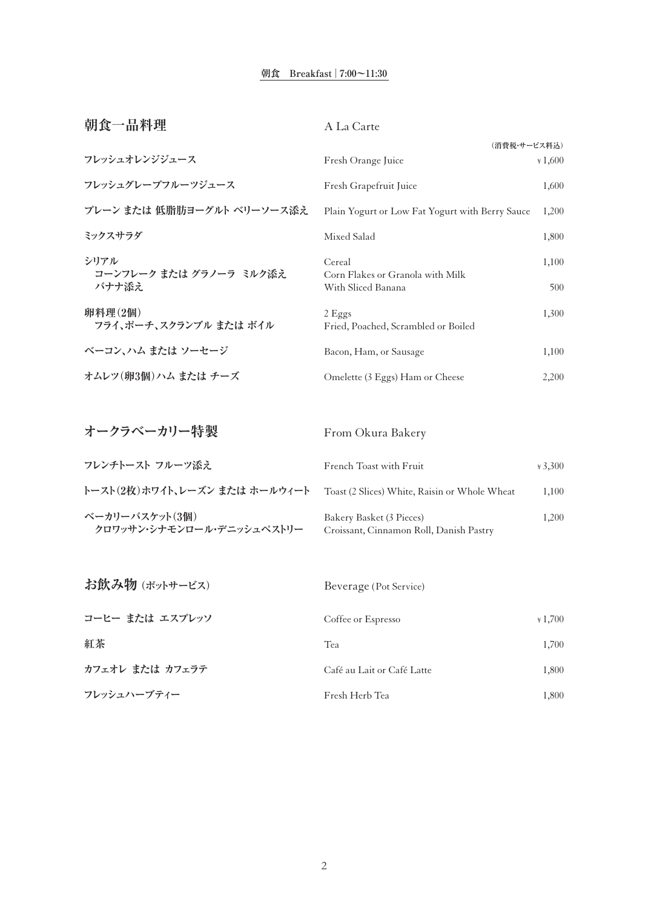#### **朝食 Breakfast | 7:00~11:30**

| 朝食一品料理                          | A La Carte                                             |          |
|---------------------------------|--------------------------------------------------------|----------|
|                                 | (消費税・サービス料込)                                           |          |
| フレッシュオレンジジュース                   | Fresh Orange Juice                                     | $*1,600$ |
| フレッシュグレープフルーツジュース               | Fresh Grapefruit Juice                                 | 1,600    |
| プレーン または 低脂肪ヨーグルト ベリーソース添え      | Plain Yogurt or Low Fat Yogurt with Berry Sauce        | 1,200    |
| ミックスサラダ                         | Mixed Salad                                            | 1,800    |
| シリアル<br>コーンフレーク または グラノーラ ミルク添え | Cereal                                                 | 1,100    |
| バナナ添え                           | Corn Flakes or Granola with Milk<br>With Sliced Banana | 500      |
| 卵料理(2個)                         | $2$ Eggs                                               | 1,300    |
| フライ、ポーチ、スクランブル または ボイル          | Fried, Poached, Scrambled or Boiled                    |          |
| ベーコン、ハム または ソーセージ               | Bacon, Ham, or Sausage                                 | 1,100    |
| オムレツ(卵3個)ハム または チーズ             | Omelette (3 Eggs) Ham or Cheese                        | 2,200    |
|                                 |                                                        |          |

| オークラベーカリー特製                                 | From Okura Bakery                                                   |          |
|---------------------------------------------|---------------------------------------------------------------------|----------|
| フレンチトースト フルーツ添え                             | French Toast with Fruit                                             | $*3.300$ |
| トースト(2枚)ホワイト、レーズン または ホールウィート               | Toast (2 Slices) White, Raisin or Whole Wheat                       | 1,100    |
| ベーカリーバスケット(3個)<br>クロワッサン・シナモンロール・デニッシュペストリー | Bakery Basket (3 Pieces)<br>Croissant, Cinnamon Roll, Danish Pastry | 1,200    |

| お飲み物 (ポットサービス)  | Beverage (Pot Service)     |          |
|-----------------|----------------------------|----------|
| コーヒー または エスプレッソ | Coffee or Espresso         | $*1,700$ |
| 紅茶              | Tea                        | 1.700    |
| カフェオレ または カフェラテ | Café au Lait or Café Latte | 1,800    |
| フレッシュハーブティー     | Fresh Herb Tea             | 1.800    |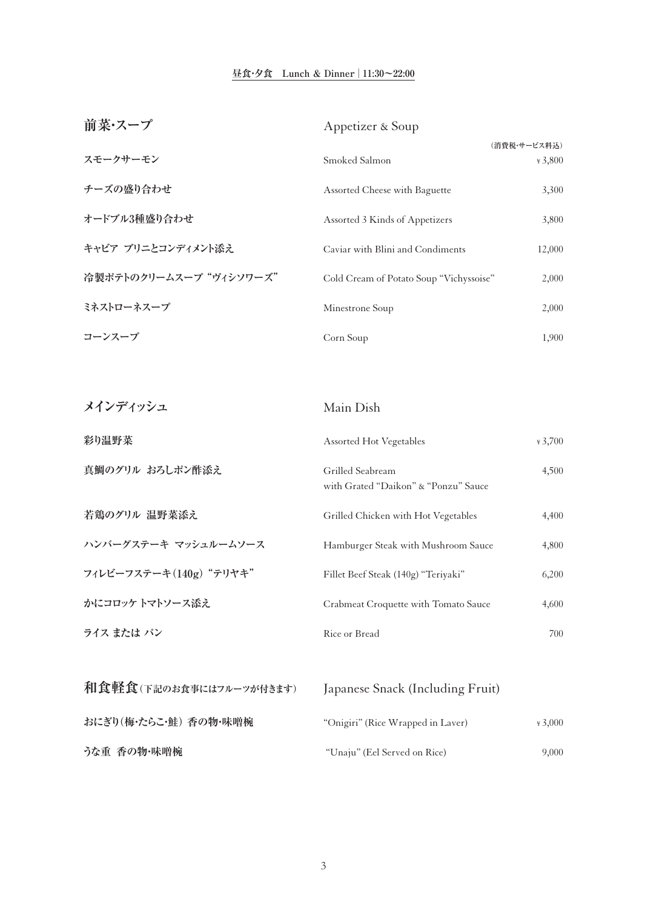#### **昼食・夕食 Lunch & Dinner | 11:30~22:00**

| 前菜・スープ                  | Appetizer & Soup                                         |                          |
|-------------------------|----------------------------------------------------------|--------------------------|
| スモークサーモン                | Smoked Salmon                                            | (消費税・サービス料込)<br>$*3,800$ |
| チーズの盛り合わせ               | Assorted Cheese with Baguette                            | 3,300                    |
| オードブル3種盛り合わせ            | Assorted 3 Kinds of Appetizers                           | 3,800                    |
| キャビア ブリニとコンディメント添え      | Caviar with Blini and Condiments                         | 12,000                   |
| 冷製ポテトのクリームスープ "ヴィシソワーズ" | Cold Cream of Potato Soup "Vichyssoise"                  | 2,000                    |
| ミネストローネスープ              | Minestrone Soup                                          | 2,000                    |
| コーンスープ                  | Corn Soup                                                | 1,900                    |
|                         |                                                          |                          |
| メインディッシュ                | Main Dish                                                |                          |
| 彩り温野菜                   | Assorted Hot Vegetables                                  | $*3,700$                 |
| 真鯛のグリル おろしポン酢添え         | Grilled Seabream<br>with Grated "Daikon" & "Ponzu" Sauce | 4,500                    |
| 若鶏のグリル 温野菜添え            | Grilled Chicken with Hot Vegetables                      | 4,400                    |
| ハンバーグステーキ マッシュルームソース    | Hamburger Steak with Mushroom Sauce                      | 4,800                    |
| フィレビーフステーキ(140g) "テリヤキ" | Fillet Beef Steak (140g) "Teriyaki"                      | 6,200                    |
| かにコロッケトマトソース添え          | Crabmeat Croquette with Tomato Sauce                     | 4,600                    |
| ライス または パン              | Rice or Bread                                            | 700                      |
|                         |                                                          |                          |
| 和食軽食(下記のお食事にはフルーツが付きます) | Japanese Snack (Including Fruit)                         |                          |
| おにぎり(梅・たらこ・鮭) 香の物・味噌椀   | "Onigiri" (Rice Wrapped in Laver)                        | $*3,000$                 |
| うな重 香の物・味噌椀             | "Unaju" (Eel Served on Rice)                             | 9,000                    |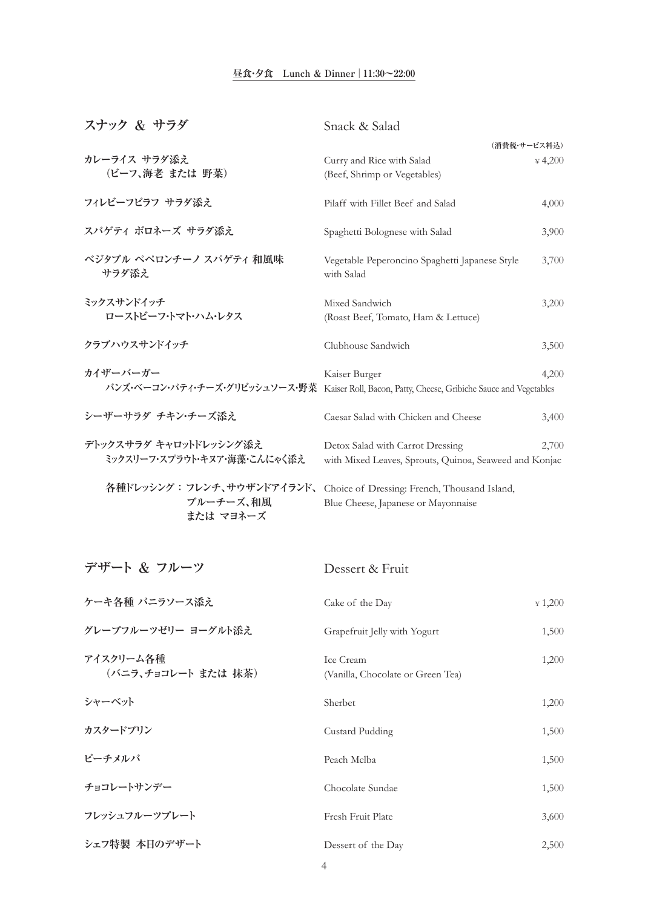#### **昼食・夕食 Lunch & Dinner | 11:30~22:00**

| スナック & サラダ                       | Snack & Salad                                                         |
|----------------------------------|-----------------------------------------------------------------------|
|                                  | (消費税・サービス料込)                                                          |
| カレーライス サラダ添え                     | Curry and Rice with Salad<br>$*4,200$                                 |
| (ビーフ、海老 または 野菜)                  | (Beef, Shrimp or Vegetables)                                          |
| フィレビーフピラフ サラダ添え                  | Pilaff with Fillet Beef and Salad<br>4,000                            |
| スパゲティ ボロネーズ サラダ添え                | Spaghetti Bolognese with Salad<br>3,900                               |
| ベジタブル ペペロンチーノ スパゲティ 和風味<br>サラダ添え | Vegetable Peperoncino Spaghetti Japanese Style<br>3,700<br>with Salad |
| ミックスサンドイッチ                       | Mixed Sandwich<br>3,200                                               |
| ローストビーフ・トマト・ハム・レタス               | (Roast Beef, Tomato, Ham & Lettuce)                                   |
| クラブハウスサンドイッチ                     | Clubhouse Sandwich<br>3,500                                           |
| カイザーバーガー                         | Kaiser Burger<br>4,200                                                |
| バンズ・ベーコン・パティ・チーズ・グリビッシュソース・野菜    | Kaiser Roll, Bacon, Patty, Cheese, Gribiche Sauce and Vegetables      |
| シーザーサラダ チキン・チーズ添え                | Caesar Salad with Chicken and Cheese<br>3,400                         |
| デトックスサラダ キャロットドレッシング添え           | Detox Salad with Carrot Dressing<br>2,700                             |
| ミックスリーフ・スプラウト・キヌア・海藻・こんにゃく添え     | with Mixed Leaves, Sprouts, Quinoa, Seaweed and Konjac                |
| 各種ドレッシング : フレンチ、サウザンドアイランド、      | Choice of Dressing: French, Thousand Island,                          |
| ブルーチーズ、和風                        | Blue Cheese, Japanese or Mayonnaise                                   |

 **ブルーチーズ、和風 または マヨネーズ**

| デザート & フルーツ                      | Dessert & Fruit                                |          |
|----------------------------------|------------------------------------------------|----------|
| ケーキ各種 バニラソース添え                   | Cake of the Day                                | $*1,200$ |
| グレープフルーツゼリー ヨーグルト添え              | Grapefruit Jelly with Yogurt                   | 1,500    |
| アイスクリーム各種<br>(バニラ、チョコレート または 抹茶) | Ice Cream<br>(Vanilla, Chocolate or Green Tea) | 1,200    |
| シャーベット                           | Sherbet                                        | 1,200    |
| カスタードプリン                         | <b>Custard Pudding</b>                         | 1,500    |
| ピーチメルバ                           | Peach Melba                                    | 1,500    |
| チョコレートサンデー                       | Chocolate Sundae                               | 1,500    |
| フレッシュフルーツプレート                    | Fresh Fruit Plate                              | 3,600    |
| シェフ特製 本日のデザート                    | Dessert of the Day                             | 2,500    |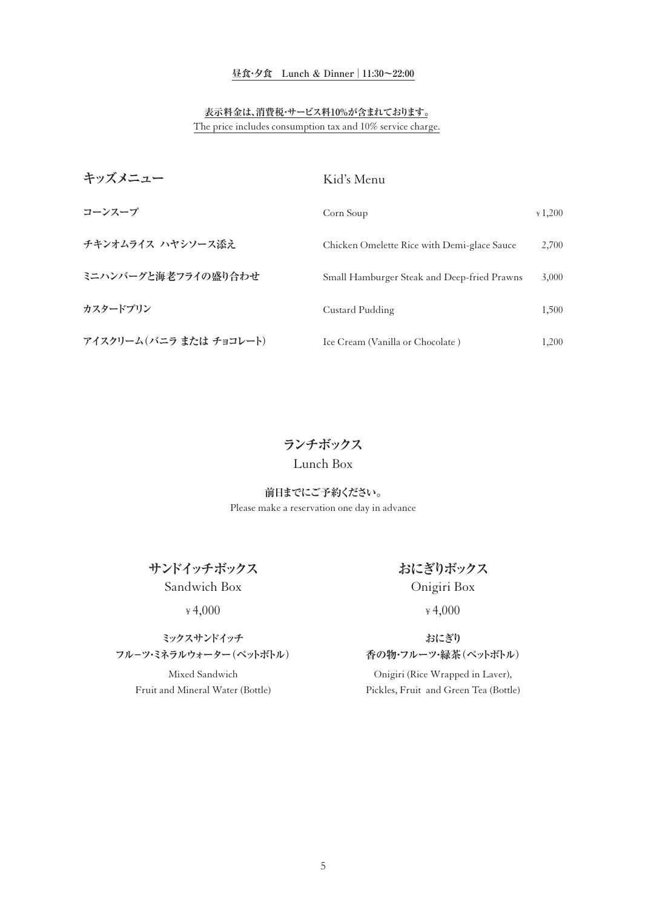#### **昼食・夕食 Lunch & Dinner | 11:30~22:00**

#### **表示料金は、消費税・サービス料10%が含まれております。**

The price includes consumption tax and 10% service charge.

| キッズメニュー                 | Kid's Menu                                  |          |
|-------------------------|---------------------------------------------|----------|
| コーンスープ                  | Corn Soup                                   | $*1,200$ |
| チキンオムライス ハヤシソース添え       | Chicken Omelette Rice with Demi-glace Sauce | 2,700    |
| ミニハンバーグと海老フライの盛り合わせ     | Small Hamburger Steak and Deep-fried Prawns | 3,000    |
| カスタードプリン                | Custard Pudding                             | 1,500    |
| アイスクリーム(バニラ または チョコレート) | Ice Cream (Vanilla or Chocolate)            | 1,200    |

**ランチボックス**

### Lunch Box

Please make a reservation one day in advance **前日までにご予約ください。**

**サンドイッチボックス** Sandwich Box

¥ 4,000

#### **ミックスサンドイッチ フル-ツ・ミネラルウォーター(ペットボトル)**

Mixed Sandwich Fruit and Mineral Water (Bottle)

## **おにぎりボックス** Onigiri Box

¥ 4,000

#### **おにぎり 香の物・フルーツ・緑茶(ペットボトル)**

Onigiri (Rice Wrapped in Laver), Pickles, Fruit and Green Tea (Bottle)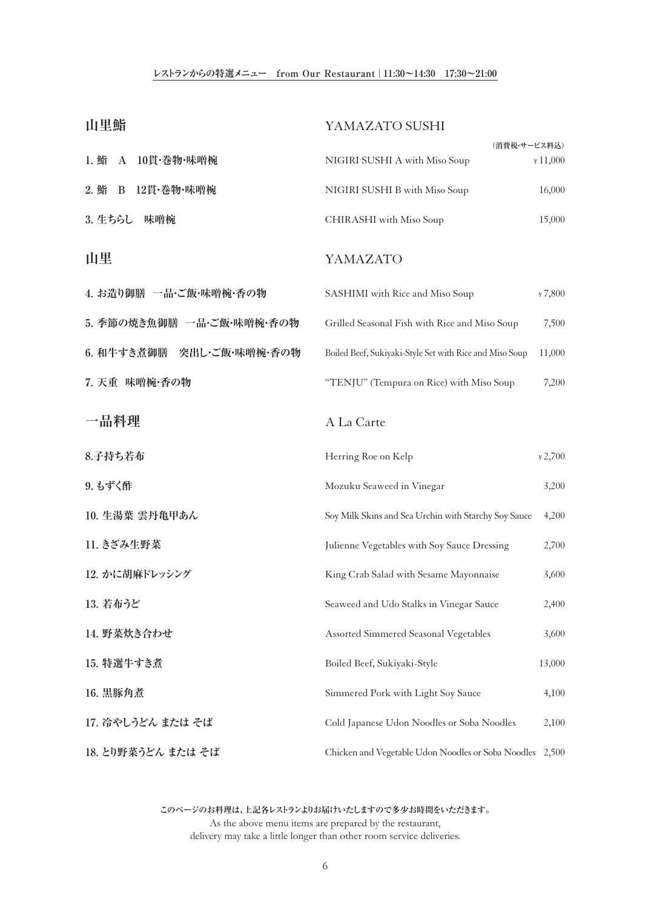#### **レストランからの特選メニュー from Our Restaurant | 11:30~14:30 17:30~21:00**

| 山里鮨                                    | YAMAZATO SUSHI                                                    |
|----------------------------------------|-------------------------------------------------------------------|
| 1. 鮨<br>10貫·巻物·味噌椀<br>$\boldsymbol{A}$ | (消費税・サービス料込)<br>NIGIRI SUSHI A with Miso Soup<br>$*11,000$        |
| 2. 鮨<br>12貫·巻物·味噌椀<br>B                | NIGIRI SUSHI B with Miso Soup<br>16,000                           |
| 3. 生ちらし<br>味噌椀                         | 15,000<br>CHIRASHI with Miso Soup                                 |
| 山里                                     | YAMAZATO                                                          |
| 4. お造り御膳 一品・ご飯・味噌椀・香の物                 | SASHIMI with Rice and Miso Soup<br>$*7,800$                       |
| 5. 季節の焼き魚御膳 一品・ご飯・味噌椀・香の物              | Grilled Seasonal Fish with Rice and Miso Soup<br>7,500            |
| 6. 和牛すき煮御膳<br>突出し・ご飯・味噌椀・香の物           | Boiled Beef, Sukiyaki-Style Set with Rice and Miso Soup<br>11,000 |
| 7. 天重 味噌椀·香の物                          | "TENJU" (Tempura on Rice) with Miso Soup<br>7,200                 |
| 一品料理                                   | A La Carte                                                        |
| 8.子持ち若布                                | Herring Roe on Kelp<br>$*2,700$                                   |
| 9. もずく酢                                | Mozuku Seaweed in Vinegar<br>3,200                                |
| 10. 生湯葉 雲丹亀甲あん                         | Soy Milk Skins and Sea Urchin with Starchy Soy Sauce<br>4,200     |
| 11. きざみ生野菜                             | Julienne Vegetables with Soy Sauce Dressing<br>2,700              |
| 12. かに胡麻ドレッシング                         | King Crab Salad with Sesame Mayonnaise<br>3,600                   |
| 13. 若布うど                               | Seaweed and Udo Stalks in Vinegar Sauce<br>2,400                  |
| 14. 野菜炊き合わせ                            | Assorted Simmered Seasonal Vegetables<br>3,600                    |
| 15. 特選牛すき煮                             | Boiled Beef, Sukiyaki-Style<br>13,000                             |
| 16. 黒豚角煮                               | Simmered Pork with Light Soy Sauce<br>4,100                       |
| 17. 冷やしうどん または そば                      | Cold Japanese Udon Noodles or Soba Noodles<br>2,100               |
| 18. とり野菜うどん または そば                     | Chicken and Vegetable Udon Noodles or Soba Noodles 2,500          |

**このページのお料理は、上記各レストランよりお届けいたしますので多少お時間をいただきます。** As the above menu items are prepared by the restaurant, delivery may take a little longer than other room service deliveries.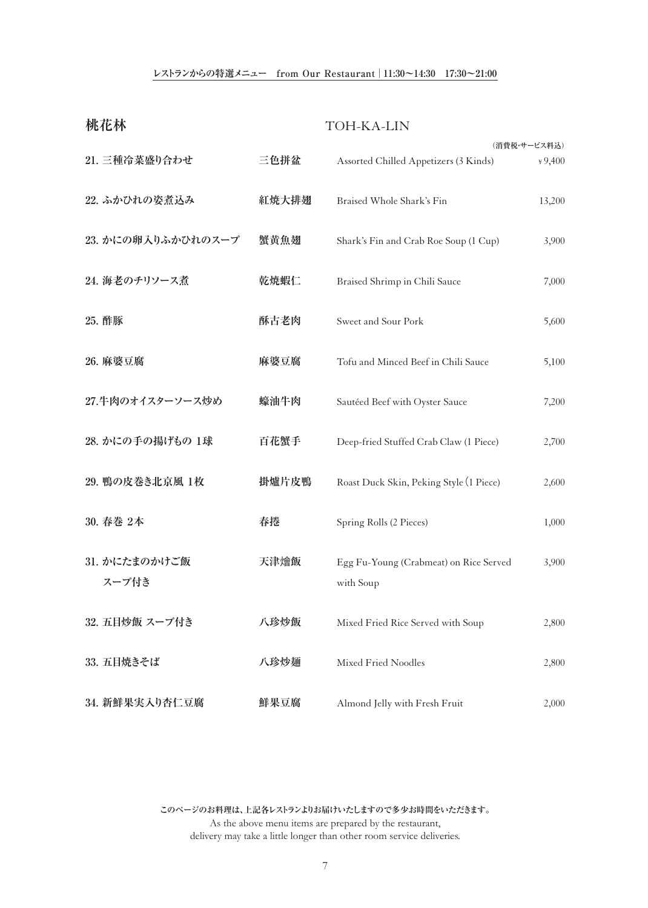#### **レストランからの特選メニュー from Our Restaurant | 11:30~14:30 17:30~21:00**

| 桃花林                    |       | <b>TOH-KA-LIN</b>                                   |                          |
|------------------------|-------|-----------------------------------------------------|--------------------------|
| 21. 三種冷菜盛り合わせ          | 三色拼盆  | Assorted Chilled Appetizers (3 Kinds)               | (消費税・サービス料込)<br>$*9,400$ |
| 22. ふかひれの姿煮込み          | 紅焼大排翅 | Braised Whole Shark's Fin                           | 13,200                   |
| 23. かにの卵入りふかひれのスープ     | 蟹黄魚翅  | Shark's Fin and Crab Roe Soup (1 Cup)               | 3,900                    |
| 24. 海老のチリソース煮          | 乾焼蝦仁  | Braised Shrimp in Chili Sauce                       | 7,000                    |
| 25. 酢豚                 | 酥古老肉  | Sweet and Sour Pork                                 | 5,600                    |
| 26. 麻婆豆腐               | 麻婆豆腐  | Tofu and Minced Beef in Chili Sauce                 | 5,100                    |
| 27.牛肉のオイスターソース炒め       | 蠔油牛肉  | Sautéed Beef with Oyster Sauce                      | 7,200                    |
| 28. かにの手の揚げもの 1球       | 百花蟹手  | Deep-fried Stuffed Crab Claw (1 Piece)              | 2,700                    |
| 29. 鴨の皮巻き北京風 1枚        | 掛爐片皮鴨 | Roast Duck Skin, Peking Style (1 Piece)             | 2,600                    |
| 30. 春巻 2本              | 春捲    | Spring Rolls (2 Pieces)                             | 1,000                    |
| 31. かにたまのかけご飯<br>スープ付き | 天津燴飯  | Egg Fu-Young (Crabmeat) on Rice Served<br>with Soup | 3,900                    |
| 32. 五目炒飯 スープ付き         | 八珍炒飯  | Mixed Fried Rice Served with Soup                   | 2,800                    |
| 33. 五目焼きそば             | 八珍炒麺  | Mixed Fried Noodles                                 | 2,800                    |
| 34. 新鮮果実入り杏仁豆腐         | 鮮果豆腐  | Almond Jelly with Fresh Fruit                       | 2,000                    |

**このページのお料理は、上記各レストランよりお届けいたしますので多少お時間をいただきます。** As the above menu items are prepared by the restaurant, delivery may take a little longer than other room service deliveries.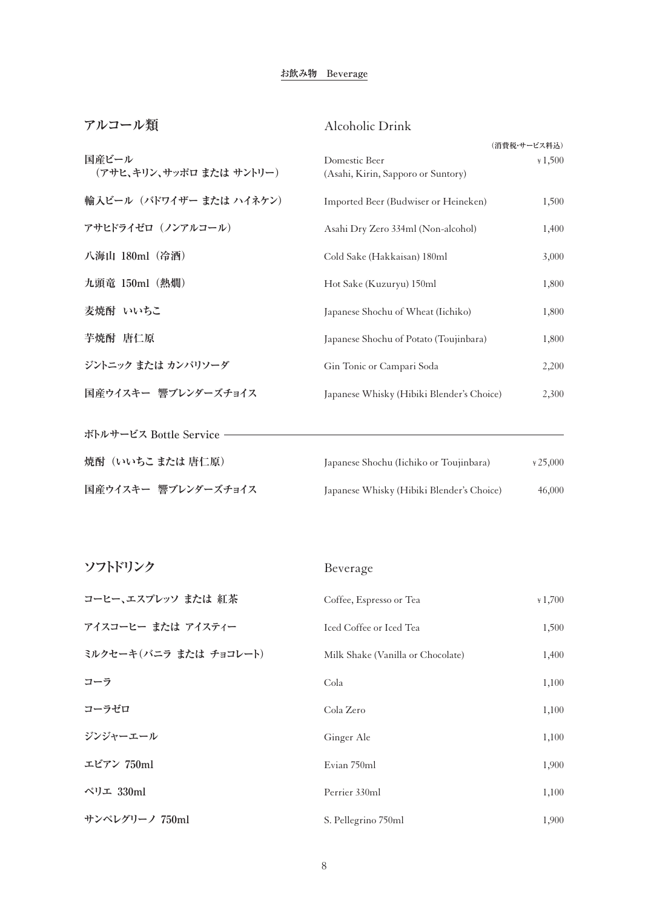#### **お飲み物 Beverage**

| アルコール類                   | Alcoholic Drink                           |              |
|--------------------------|-------------------------------------------|--------------|
|                          |                                           | (消費税・サービス料込) |
| 国産ビール                    | Domestic Beer                             | $*1,500$     |
| (アサヒ、キリン、サッポロ または サントリー) | (Asahi, Kirin, Sapporo or Suntory)        |              |
| 輸入ビール (バドワイザー または ハイネケン) | Imported Beer (Budwiser or Heineken)      | 1,500        |
| アサヒドライゼロ (ノンアルコール)       | Asahi Dry Zero 334ml (Non-alcohol)        | 1,400        |
| 八海山 180ml (冷酒)           | Cold Sake (Hakkaisan) 180ml               | 3,000        |
| 九頭竜 150ml (熱燗)           | Hot Sake (Kuzuryu) 150ml                  | 1,800        |
| 麦焼酎 いいちこ                 | Japanese Shochu of Wheat (Iichiko)        | 1,800        |
| 芋焼酎 唐仁原                  | Japanese Shochu of Potato (Toujinbara)    | 1,800        |
| ジントニック または カンパリソーダ       | Gin Tonic or Campari Soda                 | 2,200        |
| 国産ウイスキー 響ブレンダーズチョイス      | Japanese Whisky (Hibiki Blender's Choice) | 2,300        |
| ボトルサービス Bottle Service   |                                           |              |
| 焼酎 (いいちこ または 唐仁原)        | Japanese Shochu (Iichiko or Toujinbara)   | $*25,000$    |
| 国産ウイスキー 響ブレンダーズチョイス      | Japanese Whisky (Hibiki Blender's Choice) | 46,000       |

| ソフトドリンク                | Beverage                          |          |
|------------------------|-----------------------------------|----------|
| コーヒー、エスプレッソ または 紅茶     | Coffee, Espresso or Tea           | $*1,700$ |
| アイスコーヒー または アイスティー     | Iced Coffee or Iced Tea           | 1,500    |
| ミルクセーキ(バニラ または チョコレート) | Milk Shake (Vanilla or Chocolate) | 1,400    |
| コーラ                    | Cola                              | 1,100    |
| コーラゼロ                  | Cola Zero                         | 1,100    |
| ジンジャーエール               | Ginger Ale                        | 1,100    |
| エビアン 750ml             | Evian 750ml                       | 1,900    |
| ペリエ 330ml              | Perrier 330ml                     | 1,100    |
| サンペレグリーノ 750ml         | S. Pellegrino 750ml               | 1,900    |